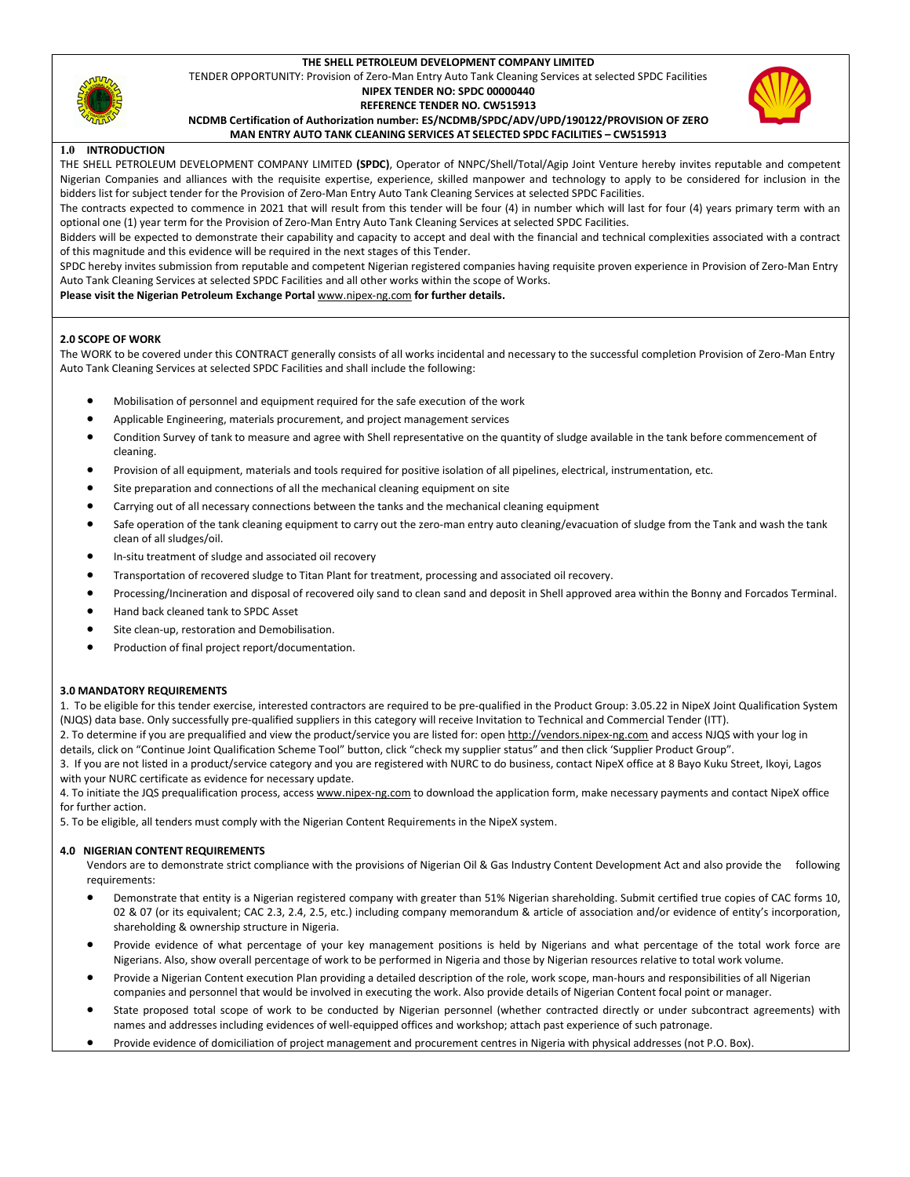## THE SHELL PETROLEUM DEVELOPMENT COMPANY LIMITED

TENDER OPPORTUNITY: Provision of Zero-Man Entry Auto Tank Cleaning Services at selected SPDC Facilities

# NIPEX TENDER NO: SPDC 00000440



# REFERENCE TENDER NO. CW515913

NCDMB Certification of Authorization number: ES/NCDMB/SPDC/ADV/UPD/190122/PROVISION OF ZERO MAN ENTRY AUTO TANK CLEANING SERVICES AT SELECTED SPDC FACILITIES – CW515913



#### 1.0 INTRODUCTION

THE SHELL PETROLEUM DEVELOPMENT COMPANY LIMITED (SPDC), Operator of NNPC/Shell/Total/Agip Joint Venture hereby invites reputable and competent Nigerian Companies and alliances with the requisite expertise, experience, skilled manpower and technology to apply to be considered for inclusion in the bidders list for subject tender for the Provision of Zero-Man Entry Auto Tank Cleaning Services at selected SPDC Facilities.

The contracts expected to commence in 2021 that will result from this tender will be four (4) in number which will last for four (4) years primary term with an optional one (1) year term for the Provision of Zero-Man Entry Auto Tank Cleaning Services at selected SPDC Facilities.

Bidders will be expected to demonstrate their capability and capacity to accept and deal with the financial and technical complexities associated with a contract of this magnitude and this evidence will be required in the next stages of this Tender.

SPDC hereby invites submission from reputable and competent Nigerian registered companies having requisite proven experience in Provision of Zero-Man Entry Auto Tank Cleaning Services at selected SPDC Facilities and all other works within the scope of Works.

Please visit the Nigerian Petroleum Exchange Portal www.nipex-ng.com for further details.

#### 2.0 SCOPE OF WORK

The WORK to be covered under this CONTRACT generally consists of all works incidental and necessary to the successful completion Provision of Zero-Man Entry Auto Tank Cleaning Services at selected SPDC Facilities and shall include the following:

- Mobilisation of personnel and equipment required for the safe execution of the work
- Applicable Engineering, materials procurement, and project management services
- Condition Survey of tank to measure and agree with Shell representative on the quantity of sludge available in the tank before commencement of cleaning.
- Provision of all equipment, materials and tools required for positive isolation of all pipelines, electrical, instrumentation, etc.
- Site preparation and connections of all the mechanical cleaning equipment on site
- Carrying out of all necessary connections between the tanks and the mechanical cleaning equipment
- Safe operation of the tank cleaning equipment to carry out the zero-man entry auto cleaning/evacuation of sludge from the Tank and wash the tank clean of all sludges/oil.
- In-situ treatment of sludge and associated oil recovery
- Transportation of recovered sludge to Titan Plant for treatment, processing and associated oil recovery.
- Processing/Incineration and disposal of recovered oily sand to clean sand and deposit in Shell approved area within the Bonny and Forcados Terminal.
- Hand back cleaned tank to SPDC Asset
- Site clean-up, restoration and Demobilisation.
- Production of final project report/documentation.

## 3.0 MANDATORY REQUIREMENTS

1. To be eligible for this tender exercise, interested contractors are required to be pre-qualified in the Product Group: 3.05.22 in NipeX Joint Qualification System (NJQS) data base. Only successfully pre-qualified suppliers in this category will receive Invitation to Technical and Commercial Tender (ITT).

2. To determine if you are prequalified and view the product/service you are listed for: open http://vendors.nipex-ng.com and access NJQS with your log in details, click on "Continue Joint Qualification Scheme Tool" button, click "check my supplier status" and then click 'Supplier Product Group".

3. If you are not listed in a product/service category and you are registered with NURC to do business, contact NipeX office at 8 Bayo Kuku Street, Ikoyi, Lagos with your NURC certificate as evidence for necessary update.

4. To initiate the JQS prequalification process, access www.nipex-ng.com to download the application form, make necessary payments and contact NipeX office for further action.

5. To be eligible, all tenders must comply with the Nigerian Content Requirements in the NipeX system.

#### 4.0 NIGERIAN CONTENT REQUIREMENTS

Vendors are to demonstrate strict compliance with the provisions of Nigerian Oil & Gas Industry Content Development Act and also provide the following requirements:

- Demonstrate that entity is a Nigerian registered company with greater than 51% Nigerian shareholding. Submit certified true copies of CAC forms 10, 02 & 07 (or its equivalent; CAC 2.3, 2.4, 2.5, etc.) including company memorandum & article of association and/or evidence of entity's incorporation, shareholding & ownership structure in Nigeria.
- Provide evidence of what percentage of your key management positions is held by Nigerians and what percentage of the total work force are Nigerians. Also, show overall percentage of work to be performed in Nigeria and those by Nigerian resources relative to total work volume.
- Provide a Nigerian Content execution Plan providing a detailed description of the role, work scope, man-hours and responsibilities of all Nigerian companies and personnel that would be involved in executing the work. Also provide details of Nigerian Content focal point or manager.
- State proposed total scope of work to be conducted by Nigerian personnel (whether contracted directly or under subcontract agreements) with names and addresses including evidences of well-equipped offices and workshop; attach past experience of such patronage.
- Provide evidence of domiciliation of project management and procurement centres in Nigeria with physical addresses (not P.O. Box).